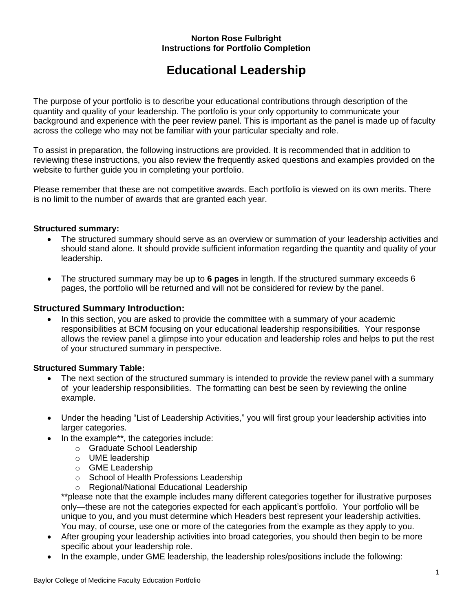#### **Norton Rose Fulbright Instructions for Portfolio Completion**

# **Educational Leadership**

The purpose of your portfolio is to describe your educational contributions through description of the quantity and quality of your leadership. The portfolio is your only opportunity to communicate your background and experience with the peer review panel. This is important as the panel is made up of faculty across the college who may not be familiar with your particular specialty and role.

To assist in preparation, the following instructions are provided. It is recommended that in addition to reviewing these instructions, you also review the frequently asked questions and examples provided on the website to further guide you in completing your portfolio.

Please remember that these are not competitive awards. Each portfolio is viewed on its own merits. There is no limit to the number of awards that are granted each year.

#### **Structured summary:**

- The structured summary should serve as an overview or summation of your leadership activities and should stand alone. It should provide sufficient information regarding the quantity and quality of your leadership.
- The structured summary may be up to **6 pages** in length. If the structured summary exceeds 6 pages, the portfolio will be returned and will not be considered for review by the panel.

#### **Structured Summary Introduction:**

• In this section, you are asked to provide the committee with a summary of your academic responsibilities at BCM focusing on your educational leadership responsibilities. Your response allows the review panel a glimpse into your education and leadership roles and helps to put the rest of your structured summary in perspective.

## **Structured Summary Table:**

- The next section of the structured summary is intended to provide the review panel with a summary of your leadership responsibilities. The formatting can best be seen by reviewing the online example.
- Under the heading "List of Leadership Activities," you will first group your leadership activities into larger categories.
- In the example\*\*, the categories include:
	- o Graduate School Leadership
	- o UME leadership
	- o GME Leadership
	- o School of Health Professions Leadership
	- o Regional/National Educational Leadership

\*\*please note that the example includes many different categories together for illustrative purposes only—these are not the categories expected for each applicant's portfolio. Your portfolio will be unique to you, and you must determine which Headers best represent your leadership activities. You may, of course, use one or more of the categories from the example as they apply to you.

- After grouping your leadership activities into broad categories, you should then begin to be more specific about your leadership role.
- In the example, under GME leadership, the leadership roles/positions include the following: